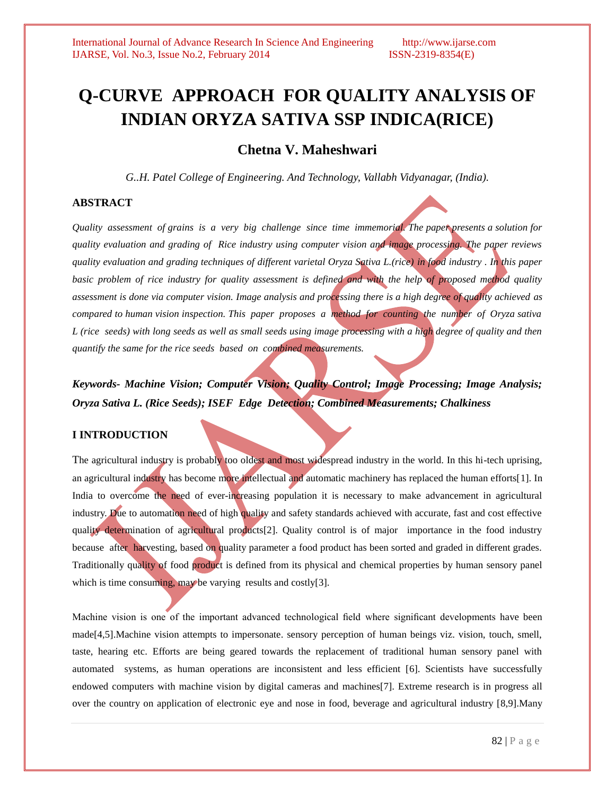# **Q-CURVE APPROACH FOR QUALITY ANALYSIS OF INDIAN ORYZA SATIVA SSP INDICA(RICE)**

# **Chetna V. Maheshwari**

*G..H. Patel College of Engineering. And Technology, Vallabh Vidyanagar, (India).*

#### **ABSTRACT**

*Quality assessment of grains is a very big challenge since time immemorial. The paper presents a solution for quality evaluation and grading of Rice industry using computer vision and image processing. The paper reviews quality evaluation and grading techniques of different varietal Oryza Sativa L.(rice) in food industry . In this paper basic problem of rice industry for quality assessment is defined and with the help of proposed method quality assessment is done via computer vision. Image analysis and processing there is a high degree of quality achieved as compared to human vision inspection. This paper proposes a method for counting the number of Oryza sativa L* (rice seeds) with long seeds as well as small seeds using image processing with a high degree of quality and then *quantify the same for the rice seeds based on combined measurements.*

*Keywords- Machine Vision; Computer Vision; Quality Control; Image Processing; Image Analysis; Oryza Sativa L. (Rice Seeds); ISEF Edge Detection; Combined Measurements; Chalkiness*

### **I INTRODUCTION**

The agricultural industry is probably too oldest and most widespread industry in the world. In this hi-tech uprising, an agricultural industry has become more intellectual and automatic machinery has replaced the human efforts[1]. In India to overcome the need of ever-increasing population it is necessary to make advancement in agricultural industry. Due to automation need of high quality and safety standards achieved with accurate, fast and cost effective quality determination of agricultural products[2]. Quality control is of major importance in the food industry because after harvesting, based on quality parameter a food product has been sorted and graded in different grades. Traditionally quality of food product is defined from its physical and chemical properties by human sensory panel which is time consuming, may be varying results and costly[3].

Machine vision is one of the important advanced technological field where significant developments have been made[4,5].Machine vision attempts to impersonate. sensory perception of human beings viz. vision, touch, smell, taste, hearing etc. Efforts are being geared towards the replacement of traditional human sensory panel with automated systems, as human operations are inconsistent and less efficient [6]. Scientists have successfully endowed computers with machine vision by digital cameras and machines[7]. Extreme research is in progress all over the country on application of electronic eye and nose in food, beverage and agricultural industry [8,9].Many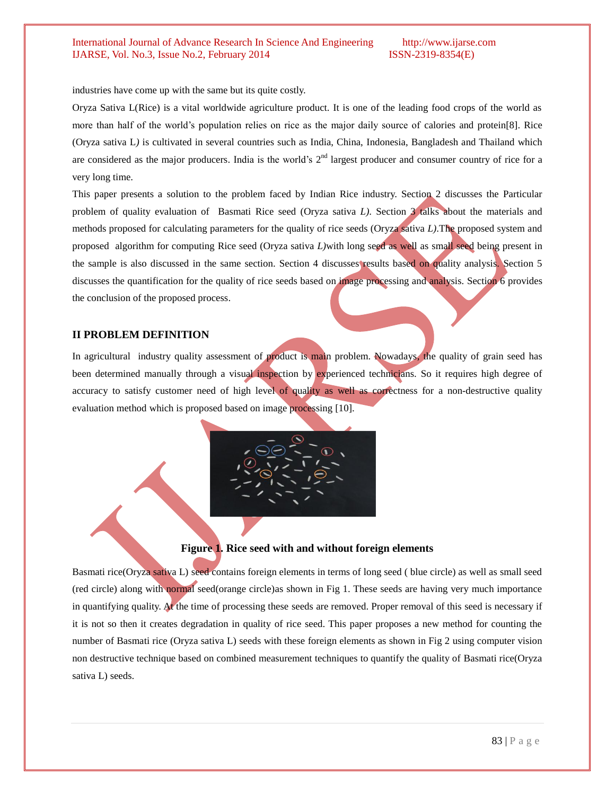industries have come up with the same but its quite costly.

Oryza Sativa L(Rice) is a vital worldwide agriculture product. It is one of the leading food crops of the world as more than half of the world's population relies on rice as the major daily source of calories and protein[8]. Rice (Oryza sativa L*)* is cultivated in several countries such as India, China, Indonesia, Bangladesh and Thailand which are considered as the major producers. India is the world's  $2<sup>nd</sup>$  largest producer and consumer country of rice for a very long time.

This paper presents a solution to the problem faced by Indian Rice industry. Section 2 discusses the Particular problem of quality evaluation of Basmati Rice seed (Oryza sativa *L)*. Section 3 talks about the materials and methods proposed for calculating parameters for the quality of rice seeds (Oryza sativa *L)*.The proposed system and proposed algorithm for computing Rice seed (Oryza sativa *L)*with long seed as well as small seed being present in the sample is also discussed in the same section. Section 4 discusses results based on quality analysis. Section 5 discusses the quantification for the quality of rice seeds based on image processing and analysis. Section 6 provides the conclusion of the proposed process.

### **II PROBLEM DEFINITION**

In agricultural industry quality assessment of product is main problem. Nowadays, the quality of grain seed has been determined manually through a visual inspection by experienced technicians. So it requires high degree of accuracy to satisfy customer need of high level of quality as well as correctness for a non-destructive quality evaluation method which is proposed based on image processing [10].



**Figure 1. Rice seed with and without foreign elements**

Basmati rice(Oryza sativa L) seed contains foreign elements in terms of long seed ( blue circle) as well as small seed (red circle) along with normal seed(orange circle)as shown in Fig 1. These seeds are having very much importance in quantifying quality. At the time of processing these seeds are removed. Proper removal of this seed is necessary if it is not so then it creates degradation in quality of rice seed. This paper proposes a new method for counting the number of Basmati rice (Oryza sativa L) seeds with these foreign elements as shown in Fig 2 using computer vision non destructive technique based on combined measurement techniques to quantify the quality of Basmati rice(Oryza sativa L) seeds.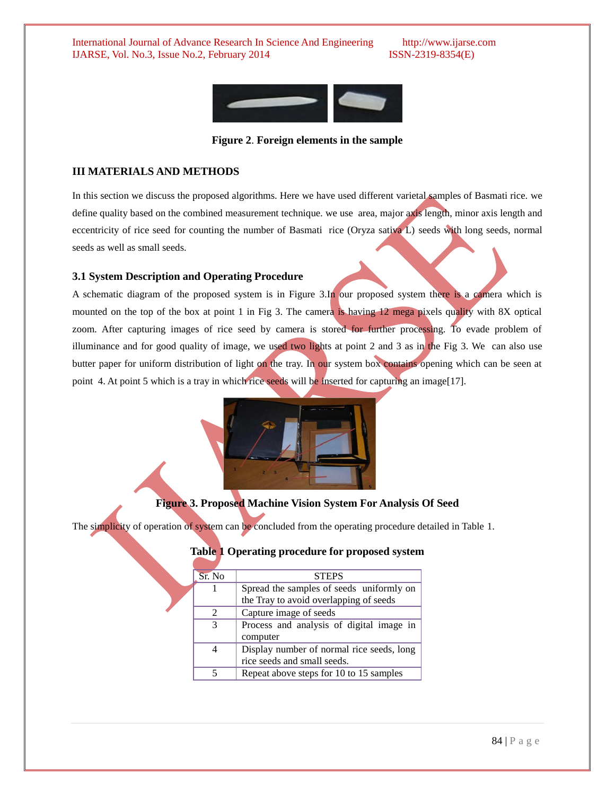

**Figure 2**. **Foreign elements in the sample**

# **III MATERIALS AND METHODS**

In this section we discuss the proposed algorithms. Here we have used different varietal samples of Basmati rice. we define quality based on the combined measurement technique. we use area, major axis length, minor axis length and eccentricity of rice seed for counting the number of Basmati rice (Oryza sativa L) seeds with long seeds, normal seeds as well as small seeds.

# **3.1 System Description and Operating Procedure**

A schematic diagram of the proposed system is in Figure 3.In our proposed system there is a camera which is mounted on the top of the box at point 1 in Fig 3. The camera is having 12 mega pixels quality with 8X optical zoom. After capturing images of rice seed by camera is stored for further processing. To evade problem of illuminance and for good quality of image, we used two lights at point  $2$  and  $3$  as in the Fig  $3$ . We can also use butter paper for uniform distribution of light on the tray. In our system box contains opening which can be seen at point 4. At point 5 which is a tray in which rice seeds will be inserted for capturing an image[17].



# **Figure 3. Proposed Machine Vision System For Analysis Of Seed**

The simplicity of operation of system can be concluded from the operating procedure detailed in Table 1.

| Sr. No        | <b>STEPS</b>                              |
|---------------|-------------------------------------------|
|               | Spread the samples of seeds uniformly on  |
|               | the Tray to avoid overlapping of seeds    |
| $\mathcal{D}$ | Capture image of seeds                    |
| $\mathcal{R}$ | Process and analysis of digital image in  |
|               | computer                                  |
|               | Display number of normal rice seeds, long |
|               | rice seeds and small seeds.               |
|               | Repeat above steps for 10 to 15 samples   |

**Table 1 Operating procedure for proposed system**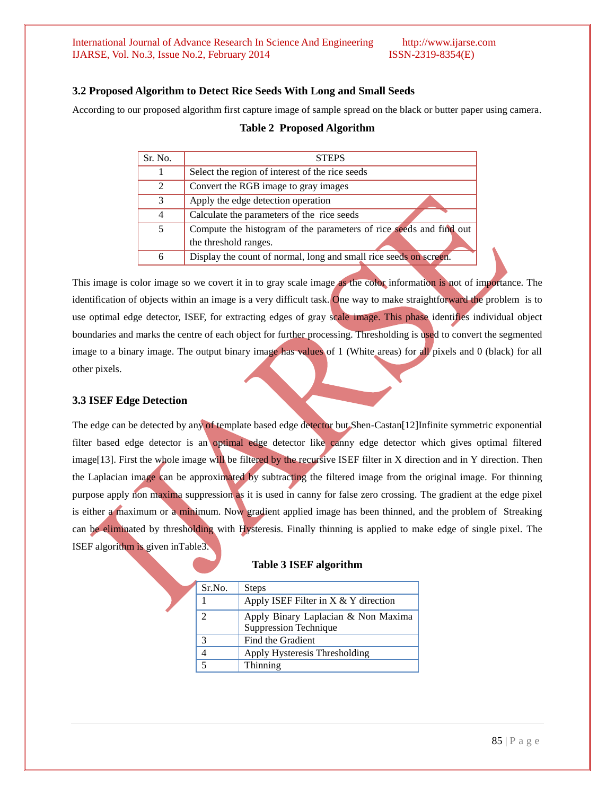### **3.2 Proposed Algorithm to Detect Rice Seeds With Long and Small Seeds**

According to our proposed algorithm first capture image of sample spread on the black or butter paper using camera.

| Sr. No.        | <b>STEPS</b>                                                                                |
|----------------|---------------------------------------------------------------------------------------------|
|                | Select the region of interest of the rice seeds                                             |
| $\mathfrak{D}$ | Convert the RGB image to gray images                                                        |
| 3              | Apply the edge detection operation                                                          |
| $\overline{4}$ | Calculate the parameters of the rice seeds                                                  |
| 5              | Compute the histogram of the parameters of rice seeds and find out<br>the threshold ranges. |
| 6              | Display the count of normal, long and small rice seeds on screen.                           |

#### **Table 2 Proposed Algorithm**

This image is color image so we covert it in to gray scale image as the color information is not of importance. The identification of objects within an image is a very difficult task. One way to make straightforward the problem is to use optimal edge detector, ISEF, for extracting edges of gray scale image. This phase identifies individual object boundaries and marks the centre of each object for further processing. Thresholding is used to convert the segmented image to a binary image. The output binary image has values of 1 (White areas) for all pixels and 0 (black) for all other pixels.

# **3.3 ISEF Edge Detection**

The edge can be detected by any of template based edge detector but Shen-Castan[12]Infinite symmetric exponential filter based edge detector is an optimal edge detector like canny edge detector which gives optimal filtered image<sup>[13]</sup>. First the whole image will be filtered by the recursive ISEF filter in X direction and in Y direction. Then the Laplacian image can be approximated by subtracting the filtered image from the original image. For thinning purpose apply non maxima suppression as it is used in canny for false zero crossing. The gradient at the edge pixel is either a maximum or a minimum. Now gradient applied image has been thinned, and the problem of Streaking can be eliminated by thresholding with Hysteresis. Finally thinning is applied to make edge of single pixel. The ISEF algorithm is given inTable3.

| Sr.No. | <b>Steps</b>                           |
|--------|----------------------------------------|
|        | Apply ISEF Filter in $X & Y$ direction |
| 2      | Apply Binary Laplacian & Non Maxima    |
|        | <b>Suppression Technique</b>           |
| 3      | Find the Gradient                      |
|        | Apply Hysteresis Thresholding          |
| $\leq$ | Thinning                               |

|  |  |  | <b>Table 3 ISEF algorithm</b> |
|--|--|--|-------------------------------|
|--|--|--|-------------------------------|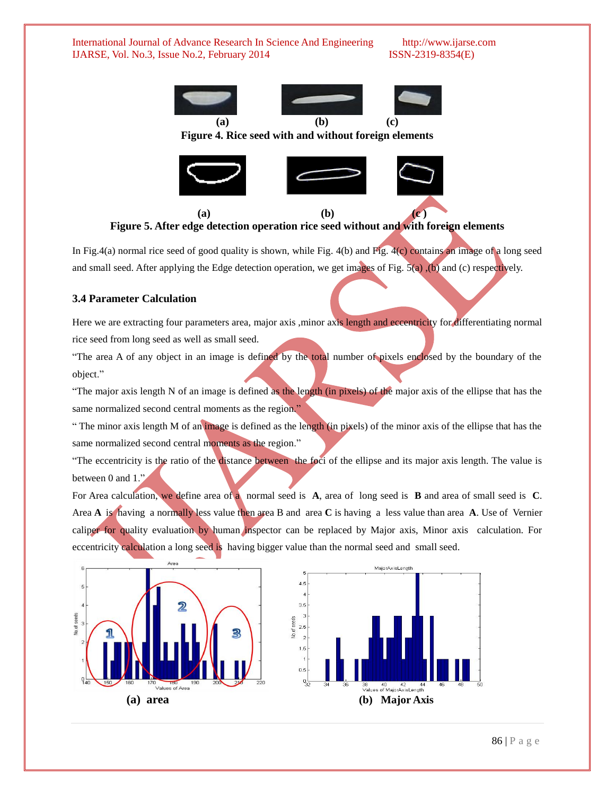

**Figure 4. Rice seed with and without foreign elements**



 **(a) (b) (c ) Figure 5. After edge detection operation rice seed without and with foreign elements**

In Fig.4(a) normal rice seed of good quality is shown, while Fig. 4(b) and Fig. 4(c) contains an image of a long seed and small seed. After applying the Edge detection operation, we get images of Fig.  $5(a)$ , (b) and (c) respectively.

### **3.4 Parameter Calculation**

Here we are extracting four parameters area, major axis ,minor axis length and eccentricity for differentiating normal rice seed from long seed as well as small seed.

"The area A of any object in an image is defined by the total number of pixels enclosed by the boundary of the object."

"The major axis length N of an image is defined as the length (in pixels) of the major axis of the ellipse that has the same normalized second central moments as the region."

" The minor axis length M of an image is defined as the length (in pixels) of the minor axis of the ellipse that has the same normalized second central moments as the region."

"The eccentricity is the ratio of the distance between the foci of the ellipse and its major axis length. The value is between 0 and 1."

For Area calculation, we define area of a normal seed is **A**, area of long seed is **B** and area of small seed is **C**. Area **A** is having a normally less value then area B and area **C** is having a less value than area **A**. Use of Vernier caliper for quality evaluation by human inspector can be replaced by Major axis, Minor axis calculation. For eccentricity calculation a long seed is having bigger value than the normal seed and small seed.



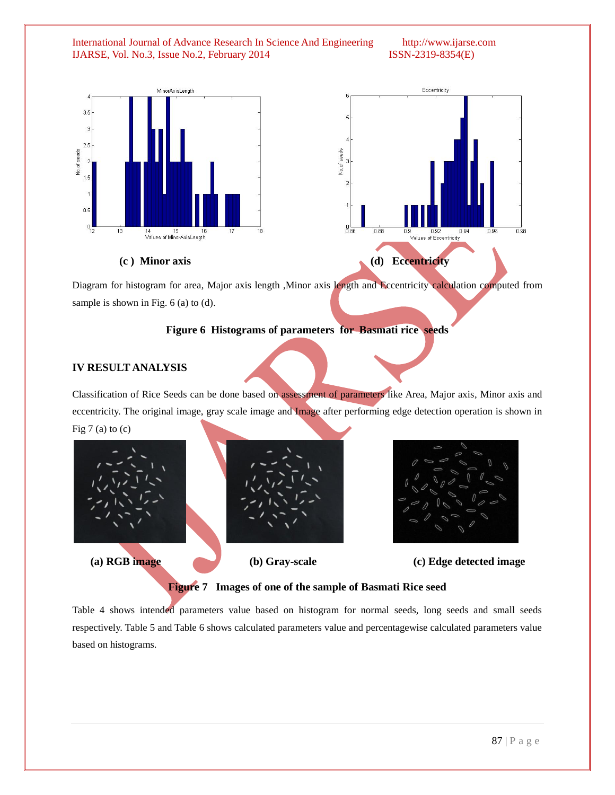



Diagram for histogram for area, Major axis length ,Minor axis length and Eccentricity calculation computed from sample is shown in Fig. 6 (a) to (d).

#### **Figure 6 Histograms of parameters for Basmati rice seeds**

### **IV RESULT ANALYSIS**

Classification of Rice Seeds can be done based on assessment of parameters like Area, Major axis, Minor axis and eccentricity. The original image, gray scale image and Image after performing edge detection operation is shown in Fig  $7$  (a) to (c)







 **(a) RGB image (b) Gray-scale (c) Edge detected image**

**Figure 7 Images of one of the sample of Basmati Rice seed**

Table 4 shows intended parameters value based on histogram for normal seeds, long seeds and small seeds respectively. Table 5 and Table 6 shows calculated parameters value and percentagewise calculated parameters value based on histograms.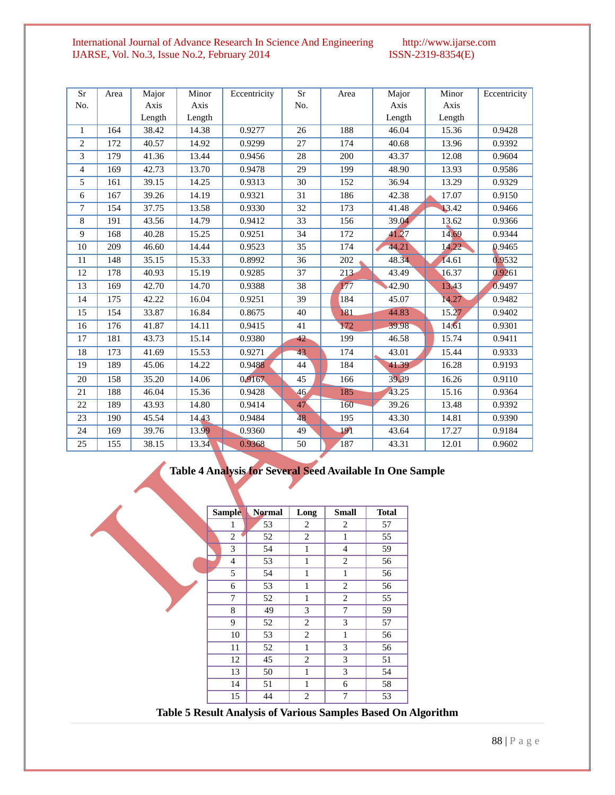| Sr             | Area | Major  | Minor  | Eccentricity | Sr              | Area    | Major  | Minor  | Eccentricity |
|----------------|------|--------|--------|--------------|-----------------|---------|--------|--------|--------------|
| No.            |      | Axis   | Axis   |              | No.             |         | Axis   | Axis   |              |
|                |      | Length | Length |              |                 |         | Length | Length |              |
| $\mathbf{1}$   | 164  | 38.42  | 14.38  | 0.9277       | 26              | 188     | 46.04  | 15.36  | 0.9428       |
| 2              | 172  | 40.57  | 14.92  | 0.9299       | 27              | 174     | 40.68  | 13.96  | 0.9392       |
| 3              | 179  | 41.36  | 13.44  | 0.9456       | 28              | 200     | 43.37  | 12.08  | 0.9604       |
| $\overline{4}$ | 169  | 42.73  | 13.70  | 0.9478       | 29              | 199     | 48.90  | 13.93  | 0.9586       |
| 5              | 161  | 39.15  | 14.25  | 0.9313       | 30              | 152     | 36.94  | 13.29  | 0.9329       |
| 6              | 167  | 39.26  | 14.19  | 0.9321       | 31              | 186     | 42.38  | 17.07  | 0.9150       |
| $\tau$         | 154  | 37.75  | 13.58  | 0.9330       | 32              | 173     | 41.48  | 13.42  | 0.9466       |
| 8              | 191  | 43.56  | 14.79  | 0.9412       | 33              | 156     | 39.04  | 13.62  | 0.9366       |
| $\overline{9}$ | 168  | 40.28  | 15.25  | 0.9251       | 34              | 172     | 41.27  | 14.69  | 0.9344       |
| 10             | 209  | 46.60  | 14.44  | 0.9523       | 35              | 174     | 44.21  | 14.22  | 0.9465       |
| 11             | 148  | 35.15  | 15.33  | 0.8992       | 36              | 202     | 48.34  | 14.61  | 0.9532       |
| 12             | 178  | 40.93  | 15.19  | 0.9285       | 37              | $213 -$ | 43.49  | 16.37  | 0.9261       |
| 13             | 169  | 42.70  | 14.70  | 0.9388       | 38              | 177     | 42.90  | 13.43  | 0.9497       |
| 14             | 175  | 42.22  | 16.04  | 0.9251       | 39              | 184     | 45.07  | 14.27  | 0.9482       |
| 15             | 154  | 33.87  | 16.84  | 0.8675       | 40              | 181     | 44.83  | 15.27  | 0.9402       |
| 16             | 176  | 41.87  | 14.11  | 0.9415       | 41              | 172     | 39.98  | 14.61  | 0.9301       |
| 17             | 181  | 43.73  | 15.14  | 0.9380       | 42              | 199     | 46.58  | 15.74  | 0.9411       |
| 18             | 173  | 41.69  | 15.53  | 0.9271       | 43              | 174     | 43.01  | 15.44  | 0.9333       |
| 19             | 189  | 45.06  | 14.22  | 0.9488       | 44              | 184     | 41.39  | 16.28  | 0.9193       |
| 20             | 158  | 35.20  | 14.06  | 0.9167       | 45              | 166     | 39.39  | 16.26  | 0.9110       |
| 21             | 188  | 46.04  | 15.36  | 0.9428       | 46 <sub>1</sub> | 185     | 43.25  | 15.16  | 0.9364       |
| 22             | 189  | 43.93  | 14.80  | 0.9414       | 47              | 160     | 39.26  | 13.48  | 0.9392       |
| 23             | 190  | 45.54  | 14.43  | 0.9484       | 48              | 195     | 43.30  | 14.81  | 0.9390       |
| 24             | 169  | 39.76  | 13.99  | 0.9360       | 49              | 191     | 43.64  | 17.27  | 0.9184       |
| 25             | 155  | 38.15  | 13.34  | 0.9368       | 50              | 187     | 43.31  | 12.01  | 0.9602       |

# **Table 4 Analysis for Several Seed Available In One Sample**

|                                                               | <b>Sample</b>  | <b>Normal</b> | Long | <b>Small</b>   | <b>Total</b> |
|---------------------------------------------------------------|----------------|---------------|------|----------------|--------------|
|                                                               | 1              | 53            | 2    | 2              | 57           |
|                                                               | $\overline{2}$ | 52            | 2    | 1              | 55           |
|                                                               | 3              | 54            | 1    | $\overline{4}$ | 59           |
|                                                               | $\overline{4}$ | 53            | 1    | 2              | 56           |
|                                                               | 5              | 54            | 1    | 1              | 56           |
|                                                               | 6              | 53            | 1    | 2              | 56           |
|                                                               | $\overline{7}$ | 52            | 1    | $\overline{c}$ | 55           |
|                                                               | 8              | 49            | 3    | $\tau$         | 59           |
|                                                               | 9              | 52            | 2    | 3              | 57           |
|                                                               | 10             | 53            | 2    | 1              | 56           |
|                                                               | 11             | 52            | 1    | 3              | 56           |
|                                                               | 12             | 45            | 2    | 3              | 51           |
|                                                               | 13             | 50            | 1    | 3              | 54           |
|                                                               | 14             | 51            | 1    | 6              | 58           |
|                                                               | 15             | 44            | 2    | 7              | 53           |
| Table 5 Result Analysis of Various Samples Based On Algorithm |                |               |      |                |              |

88 | P a g e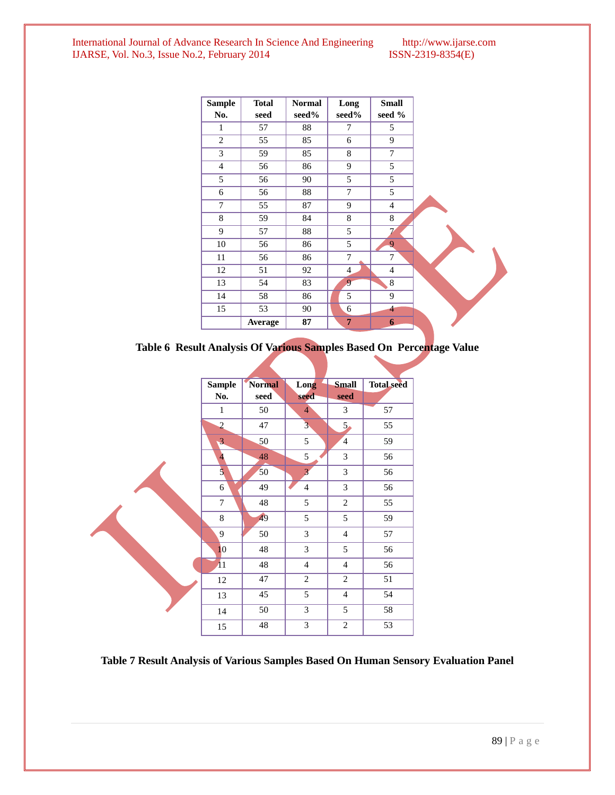| <b>Sample</b><br>No. | <b>Total</b><br>seed | <b>Normal</b><br>seed% | Long<br>seed%  | <b>Small</b><br>seed %   |  |
|----------------------|----------------------|------------------------|----------------|--------------------------|--|
| 1                    | 57                   | 88                     | 7              | 5                        |  |
| $\overline{c}$       | 55                   | 85                     | 6              | 9                        |  |
| 3                    | 59                   | 85                     | 8              | $\overline{7}$           |  |
| $\overline{4}$       | 56                   | 86                     | 9              | 5                        |  |
| 5                    | 56                   | 90                     | 5              | 5                        |  |
| 6                    | 56                   | 88                     | $\overline{7}$ | 5                        |  |
| $\overline{7}$       | 55                   | 87                     | 9              | $\overline{4}$           |  |
| 8                    | 59                   | 84                     | 8              | 8                        |  |
| 9                    | 57                   | 88                     | 5              | $\overline{\phantom{a}}$ |  |
| 10                   | 56                   | 86                     | 5              | 9                        |  |
| 11                   | 56                   | 86                     | 7              | 7                        |  |
| 12                   | 51                   | 92                     | $\overline{4}$ | $\overline{4}$           |  |
| 13                   | 54                   | 83                     | 9              | 8                        |  |
| 14                   | 58                   | 86                     | 5              | 9                        |  |
| 15                   | 53                   | 90                     | 6              | $\overline{4}$           |  |
|                      | Average              | 87                     | $\overline{7}$ | $\boldsymbol{6}$         |  |

**Table 6 Result Analysis Of Various Samples Based On Percentage Value**

| <b>Sample</b>  | <b>Normal</b> | Long                    | <b>Small</b>   | <b>Total seed</b> |
|----------------|---------------|-------------------------|----------------|-------------------|
| No.            | seed          | seed                    | seed           |                   |
| $\mathbf{1}$   | 50            | $\overline{4}$          | 3              | 57                |
| $\overline{2}$ | 47            | $\overline{\mathbf{3}}$ | 5 <sub>o</sub> | 55                |
| 3              | 50            | 5                       | $\overline{4}$ | 59                |
| $\overline{4}$ | 48            | 5                       | 3              | 56                |
| $\overline{5}$ | 50            | $\overline{3}$          | 3              | 56                |
| 6              | 49            | $\overline{4}$          | 3              | 56                |
| $\tau$         | 48            | 5                       | $\overline{2}$ | 55                |
| $\,8\,$        | 49            | 5                       | 5              | 59                |
| 9              | 50            | 3                       | $\overline{4}$ | 57                |
| 10             | 48            | 3                       | 5              | 56                |
| 11             | 48            | $\overline{4}$          | $\overline{4}$ | 56                |
| 12             | 47            | $\mathbf{2}$            | $\overline{2}$ | 51                |
| 13             | 45            | 5                       | $\overline{4}$ | 54                |
| 14             | 50            | 3                       | 5              | 58                |
| 15             | 48            | 3                       | $\mathfrak{2}$ | 53                |

**Table 7 Result Analysis of Various Samples Based On Human Sensory Evaluation Panel**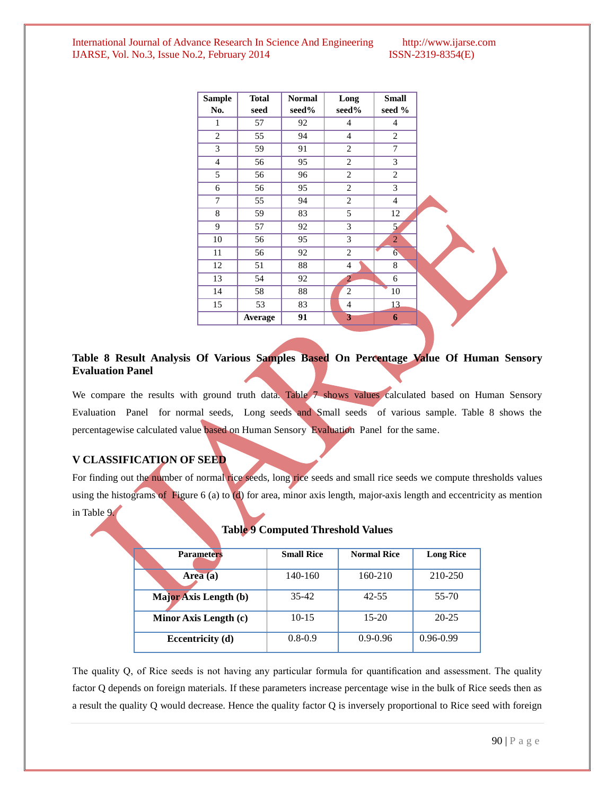| <b>Sample</b>  | <b>Total</b> | <b>Normal</b>   | Long           | <b>Small</b>   |  |
|----------------|--------------|-----------------|----------------|----------------|--|
| No.            | seed         | seed%           | seed%          | seed %         |  |
| 1              | 57           | 92              | 4              | $\overline{4}$ |  |
| 2              | 55           | 94              | $\overline{4}$ | 2              |  |
| 3              | 59           | 91              | 2              | $\overline{7}$ |  |
| $\overline{4}$ | 56           | 95              | 2              | 3              |  |
| 5              | 56           | 96              | 2              | 2              |  |
| 6              | 56           | 95              | 2              | 3              |  |
| 7              | 55           | 94              | 2              | $\overline{4}$ |  |
| 8              | 59           | 83              | 5              | 12             |  |
| 9              | 57           | 92              | 3              | 5 <sub>1</sub> |  |
| 10             | 56           | 95              | 3              | $\overline{2}$ |  |
| 11             | 56           | 92              | 2              | 6 <sup>1</sup> |  |
| 12             | 51           | $\overline{88}$ | 4              | 8              |  |
| 13             | 54           | 92              | $\overline{2}$ | 6              |  |
| 14             | 58           | 88              | $\overline{c}$ | 10             |  |
| 15             | 53           | 83              | $\overline{4}$ | 13             |  |
|                | Average      | 91              | 3              | 6              |  |

### **Table 8 Result Analysis Of Various Samples Based On Percentage Value Of Human Sensory Evaluation Panel**

We compare the results with ground truth data. Table 7 shows values calculated based on Human Sensory Evaluation Panel for normal seeds, Long seeds and Small seeds of various sample. Table 8 shows the percentagewise calculated value based on Human Sensory Evaluation Panel for the same.

### **V CLASSIFICATION OF SEED**

For finding out the number of normal rice seeds, long rice seeds and small rice seeds we compute thresholds values using the histograms of Figure 6 (a) to (d) for area, minor axis length, major-axis length and eccentricity as mention in Table 9.

| <b>Parameters</b>     | <b>Small Rice</b> | <b>Normal Rice</b> | <b>Long Rice</b> |
|-----------------------|-------------------|--------------------|------------------|
| Area $(a)$            | 140-160           | 160-210            | 210-250          |
| Major Axis Length (b) | $35 - 42$         | $42 - 55$          | 55-70            |
| Minor Axis Length (c) | $10-15$           | $15-20$            | 20-25            |
| Eccentricity (d)      | $0.8 - 0.9$       | $0.9 - 0.96$       | $0.96 - 0.99$    |

#### **Table 9 Computed Threshold Values**

The quality Q, of Rice seeds is not having any particular formula for quantification and assessment. The quality factor Q depends on foreign materials. If these parameters increase percentage wise in the bulk of Rice seeds then as a result the quality Q would decrease. Hence the quality factor Q is inversely proportional to Rice seed with foreign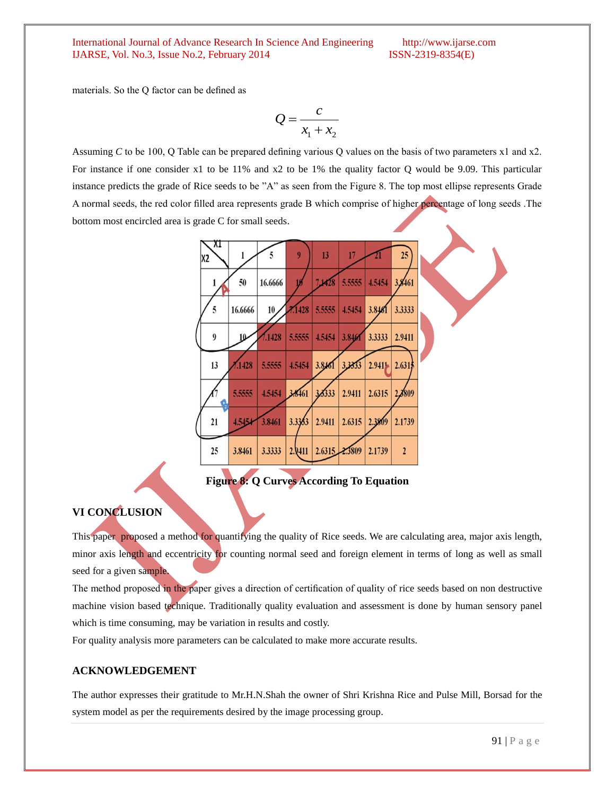materials. So the Q factor can be defined as

$$
Q = \frac{c}{x_1 + x_2}
$$

Assuming *C* to be 100, Q Table can be prepared defining various Q values on the basis of two parameters x1 and x2. For instance if one consider x1 to be 11% and x2 to be 1% the quality factor Q would be 9.09. This particular instance predicts the grade of Rice seeds to be "A" as seen from the Figure 8. The top most ellipse represents Grade A normal seeds, the red color filled area represents grade B which comprise of higher percentage of long seeds .The bottom most encircled area is grade C for small seeds.



**Figure 8: Q Curves According To Equation**

#### **VI CONCLUSION**

This paper proposed a method for quantifying the quality of Rice seeds. We are calculating area, major axis length, minor axis length and eccentricity for counting normal seed and foreign element in terms of long as well as small seed for a given sample.

The method proposed in the paper gives a direction of certification of quality of rice seeds based on non destructive machine vision based technique. Traditionally quality evaluation and assessment is done by human sensory panel which is time consuming, may be variation in results and costly.

For quality analysis more parameters can be calculated to make more accurate results.

### **ACKNOWLEDGEMENT**

The author expresses their gratitude to Mr.H.N.Shah the owner of Shri Krishna Rice and Pulse Mill, Borsad for the system model as per the requirements desired by the image processing group.